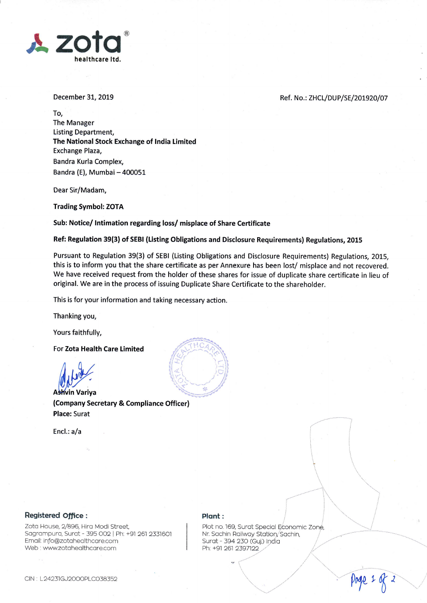

December 31, 2019

Ref. No.: ZHCL/DUP/SE/201920/07

To, The Manager Listing Department, The National Stock Exchange of lndia limited Exchange Plaza, Bandra Kurla Complex, Bandra (E), Mumbai - 400051

Dear Sir/Madam,

Trading Symbol: ZOTA

Sub: Notice/ lntimation regarding loss/ misplace of Share Certificate

Ref: Regulation 39(3) of SEBI (Listing Obligations and Disclosure Requirements) Regulations, 2015

Pursuant to Regulation 39(3) of SEBI (Listing Obligations and Disclosure Reguirements) Regulations, 2015, this is to inform you that the share certificate as per Annexure has been lost/ misplace and not recovered. We have received request from the holder of these shares for issue of duplicate share certificate in lieu of original. We are in the process of issuing Duplicate Share Certificate to the shareholder.

This is for your information and taking necessary action.

Thanking you,

Yours faithfully,

For Zota Health Care Limited

**Ashvin Variva** (Company Secretary & Compliance Officer) Place: Surat

Encl.: a/a



## $\begin{aligned} \textbf{Registered Office}: \end{aligned}$

Zota House, 2/896, Hira Modi Street, Sagrampura, Surat - 395 002 | Ph: +91 261 2331601 Email: info@zotahealthcare.com Web : www.zotahealthcare.com

Plot no. 169, Surat Special Economic Zone, Nr. Sachin Railway Station, Sachin, Surat - 394 230 (Guj.) India Ph: +91 261 2397122  $\overline{\phantom{a}}$ 

 $\ddotsc$ 

 $\overline{\phantom{a}}$ 

 $\longrightarrow$ 

 $\overbrace{\phantom{13721}}$ 

 $\sum$ Page 1 of